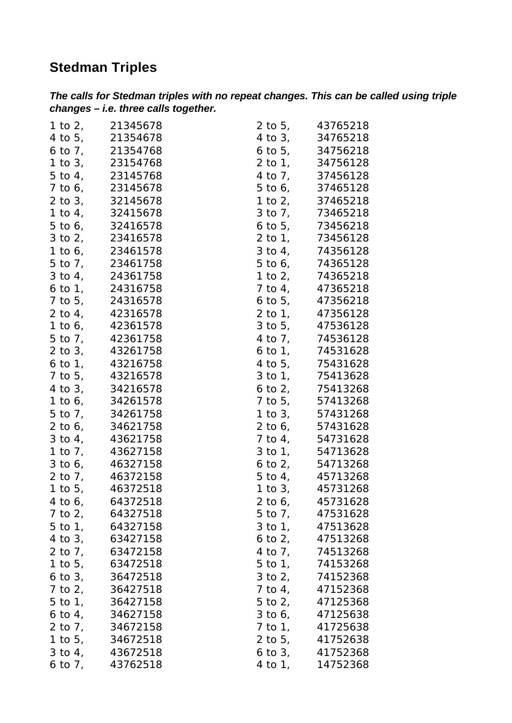## **Stedman Triples**

| The calls for Stedman triples with no repeat changes. This can be called using triple |  |  |
|---------------------------------------------------------------------------------------|--|--|
| $changes - i.e.$ three calls together.                                                |  |  |

|              | 1 to 2, 21345678   |              | 2 to 5, 43765218   |
|--------------|--------------------|--------------|--------------------|
|              | 4 to 5, 21354678   |              | 4 to 3, 34765218   |
|              | 6 to 7, 21354768   |              | 6 to 5, 34756218   |
|              | 1 to 3, 23154768   |              | 2 to 1, 34756128   |
|              | 5 to 4, 23145768   |              | 4 to 7, 37456128   |
|              | 7 to 6, 23145678   |              | 5 to 6, 37465128   |
|              | 2 to 3, 32145678   |              | 1 to 2, 37465218   |
|              | 1 to 4, 32415678   | $3$ to $7$ , | 73465218           |
|              | 5 to 6, 32416578   |              | 6 to 5, 73456218   |
|              | 3 to 2, 23416578   |              | 2 to 1, 73456128   |
|              | 1 to 6, 23461578   |              | 3 to 4, 74356128   |
|              | 5 to 7, 23461758   |              | 5 to 6, 74365128   |
|              | 3 to 4, 24361758   |              | 1 to 2, 74365218   |
|              | 6 to 1, 24316758   |              | 7 to 4, 47365218   |
|              | 7 to 5, 24316578   |              | 6 to 5, 47356218   |
|              | 2 to 4, 42316578   | $2$ to $1$ , | 47356128           |
|              | 1 to 6, 42361578   | $3$ to $5$ , | 47536128           |
|              | 5 to 7, 42361758   |              | 4 to 7, 74536128   |
|              | 2 to 3, 43261758   |              | 6 to 1, 74531628   |
| $6$ to $1$ , | 43216758           |              | 4 to 5, 75431628   |
|              | 7 to 5, 43216578   |              | 3 to 1, 75413628   |
|              | 4 to 3, 34216578   |              | 6 to 2, 75413268   |
|              | 1 to 6, 34261578   |              | 7 to 5, 57413268   |
|              | 5 to 7, 34261758   |              | 1 to 3, 57431268   |
| $2$ to 6,    | 34621758           |              | 2 to 6, 57431628   |
|              | 3 to 4, 43621758   |              | 7 to 4, 54731628   |
|              | 1 to 7, 43627158   |              | 3 to 1, 54713628   |
|              | 3 to 6, 46327158   |              | 6 to 2, 54713268   |
|              | 2 to 7, 46372158   |              | 5 to 4, 45713268   |
|              | 1 to 5, 46372518   |              | 1 to 3, 45731268   |
|              | 4 to 6, 64372518   |              | 2 to 6, 45731628   |
|              | 7 to 2, 64327518   |              | 5 to 7, 47531628   |
|              | 5 to 1, 64327158   |              | 3 to 1, 47513628   |
|              | 4 to 3, 63427158   |              | 6 to 2, $47513268$ |
|              | 2 to 7, 63472158   |              | 4 to 7, 74513268   |
|              | 1 to 5, 63472518   |              | 5 to 1, 74153268   |
|              | 6 to 3, 36472518   |              | 3 to 2, 74152368   |
|              | 7 to 2, 36427518   |              | 7 to 4, 47152368   |
|              | 5 to 1, 36427158   |              | 5 to 2, 47125368   |
|              | 6 to 4, $34627158$ |              | 3 to 6, 47125638   |
|              | 2 to 7, 34672158   |              | 7 to 1, 41725638   |
|              | 1 to 5, 34672518   |              | 2 to 5, 41752638   |
|              | 3 to 4, 43672518   |              | 6 to 3, $41752368$ |
|              | 6 to 7, $43762518$ | 4 to 1,      | 14752368           |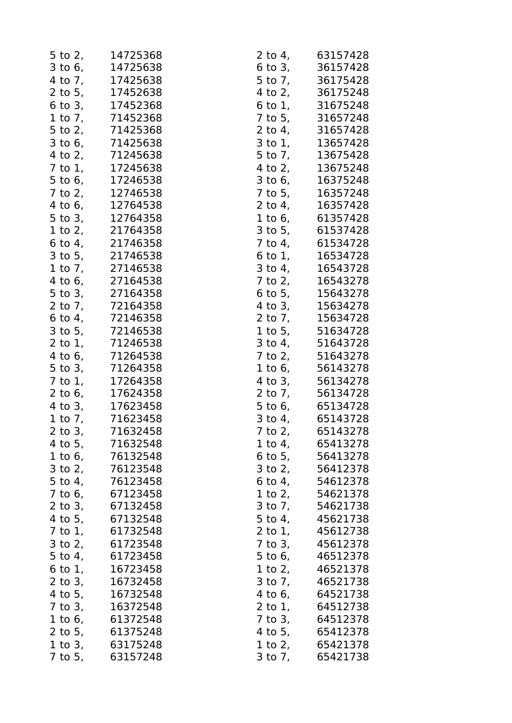|              | 5 to 2, 14725368                                 |              | 2 to 4, 63157428 |
|--------------|--------------------------------------------------|--------------|------------------|
|              | 3 to 6, 14725638                                 |              | 6 to 3, 36157428 |
|              | 4 to 7, 17425638                                 |              | 5 to 7, 36175428 |
|              | 2 to 5, 17452638                                 |              | 4 to 2, 36175248 |
|              | 6 to 3, 17452368                                 |              | 6 to 1, 31675248 |
|              | 1 to 7, 71452368                                 |              | 7 to 5, 31657248 |
|              | 5 to 2, 71425368                                 |              | 2 to 4, 31657428 |
|              | $3 \text{ to } 6, 71425638$                      |              | 3 to 1, 13657428 |
|              | 4 to 2, 71245638                                 |              | 5 to 7, 13675428 |
|              | 7 to 1, 17245638                                 |              | 4 to 2, 13675248 |
|              | 5 to 6, 17246538                                 |              | 3 to 6, 16375248 |
| $7$ to $2$ , | 12746538                                         |              | 7 to 5, 16357248 |
|              | 4 to 6, 12764538                                 |              | 2 to 4, 16357428 |
|              |                                                  | $1$ to $6$ , | 61357428         |
|              | 5 to 3, 12764358<br>1 to 2, 21764358             |              | 3 to 5, 61537428 |
|              | 6 to 4, 21746358                                 |              | 7 to 4, 61534728 |
|              | 3 to 5, 21746538                                 |              | 6 to 1, 16534728 |
|              | 1 to 7, 27146538                                 |              | 3 to 4, 16543728 |
|              | 4 to 6, 27164538                                 |              | 7 to 2, 16543278 |
|              | 5 to 3, 27164358                                 |              | 6 to 5, 15643278 |
| 2 to $71$    | 72164358                                         |              | 4 to 3, 15634278 |
|              | 6 to 4, 72146358                                 |              | 2 to 7, 15634728 |
|              | 3 to 5, 72146538                                 | $1$ to $5$ , | 51634728         |
|              | $2 \text{ to } 1, 71246538$                      |              | 3 to 4, 51643728 |
|              | 4 to 6, 71264538                                 |              | 7 to 2, 51643278 |
|              | 5 to 3, 71264358                                 |              | 1 to 6, 56143278 |
|              | 7 to 1, 17264358                                 |              | 4 to 3, 56134278 |
|              | 2 to 6, 17624358                                 |              | 2 to 7, 56134728 |
|              | 4 to 3, 17623458                                 |              | 5 to 6, 65134728 |
|              |                                                  |              | 3 to 4, 65143728 |
| $2$ to $3$ , | 1 to 7, 71623458<br>2 to 3, 71632458<br>71632458 | 7 to 2,      | 65143278         |
|              | 4 to 5, 71632548                                 |              | 1 to 4, 65413278 |
|              | 1 to 6, 76132548                                 |              | 6 to 5, 56413278 |
|              | 3 to 2, 76123548                                 | $3$ to $2$ , | 56412378         |
| $5$ to $4$ , | 76123458                                         | $6$ to $4$ , | 54612378         |
|              | 7 to 6, 67123458                                 |              | 1 to 2, 54621378 |
|              | 2 to 3, 67132458                                 |              | 3 to 7, 54621738 |
|              | 4 to 5, 67132548                                 |              | 5 to 4, 45621738 |
|              | 7 to 1, 61732548                                 |              | 2 to 1, 45612738 |
|              | 3 to 2, 61723548                                 | $7$ to $3$ , | 45612378         |
|              | 5 to 4, 61723458                                 |              | 5 to 6, 46512378 |
| $6$ to $1$ , | 16723458                                         | 1 to $2,$    | 46521378         |
|              | 2 to 3, 16732458                                 |              | 3 to 7, 46521738 |
|              | 4 to 5, 16732548                                 | 4 to 6,      | 64521738         |
|              | 7 to 3, 16372548                                 |              | 2 to 1, 64512738 |
|              | 1 to 6, 61372548                                 |              | 7 to 3, 64512378 |
|              | 2 to 5, 61375248                                 |              | 4 to 5, 65412378 |
|              | 1 to 3, 63175248                                 | 1 to $2,$    | 65421378         |
|              | 7 to 5, 63157248                                 | $3$ to $7$ , | 65421738         |